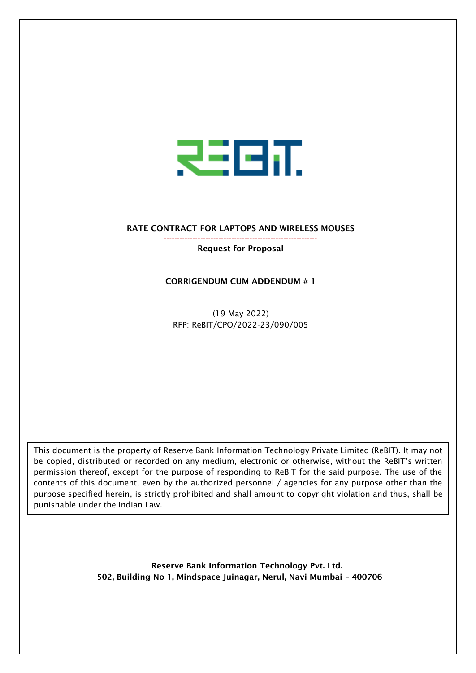

## RATE CONTRACT FOR LAPTOPS AND WIRELESS MOUSES

## Request for Proposal

-----------------------------------------------------------

## CORRIGENDUM CUM ADDENDUM # 1

(19 May 2022) RFP: ReBIT/CPO/2022-23/090/005

This document is the property of Reserve Bank Information Technology Private Limited (ReBIT). It may not be copied, distributed or recorded on any medium, electronic or otherwise, without the ReBIT's written permission thereof, except for the purpose of responding to ReBIT for the said purpose. The use of the contents of this document, even by the authorized personnel / agencies for any purpose other than the purpose specified herein, is strictly prohibited and shall amount to copyright violation and thus, shall be punishable under the Indian Law.

> Reserve Bank Information Technology Pvt. Ltd. 502, Building No 1, Mindspace Juinagar, Nerul, Navi Mumbai – 400706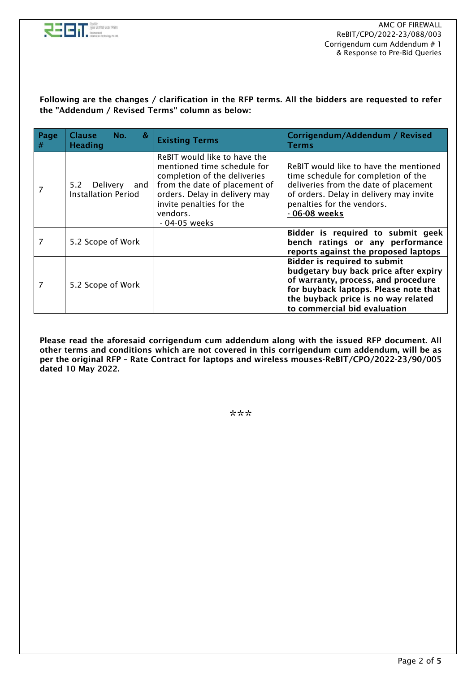

Following are the changes / clarification in the RFP terms. All the bidders are requested to refer the "Addendum / Revised Terms" column as below:

| Page<br># | <b>Clause</b><br>&<br>No.<br><b>Heading</b>          | <b>Existing Terms</b>                                                                                                                                                                                                  | Corrigendum/Addendum / Revised<br>Terms                                                                                                                                                                                             |
|-----------|------------------------------------------------------|------------------------------------------------------------------------------------------------------------------------------------------------------------------------------------------------------------------------|-------------------------------------------------------------------------------------------------------------------------------------------------------------------------------------------------------------------------------------|
|           | Delivery<br>5.2<br>and<br><b>Installation Period</b> | ReBIT would like to have the<br>mentioned time schedule for<br>completion of the deliveries<br>from the date of placement of<br>orders. Delay in delivery may<br>invite penalties for the<br>vendors.<br>- 04-05 weeks | ReBIT would like to have the mentioned<br>time schedule for completion of the<br>deliveries from the date of placement<br>of orders. Delay in delivery may invite<br>penalties for the vendors.<br>- 06-08 weeks                    |
| 7         | 5.2 Scope of Work                                    |                                                                                                                                                                                                                        | Bidder is required to submit geek<br>bench ratings or any performance<br>reports against the proposed laptops                                                                                                                       |
| 7         | 5.2 Scope of Work                                    |                                                                                                                                                                                                                        | <b>Bidder is required to submit</b><br>budgetary buy back price after expiry<br>of warranty, process, and procedure<br>for buyback laptops. Please note that<br>the buyback price is no way related<br>to commercial bid evaluation |

Please read the aforesaid corrigendum cum addendum along with the issued RFP document. All other terms and conditions which are not covered in this corrigendum cum addendum, will be as per the original RFP – Rate Contract for laptops and wireless mouses-ReBIT/CPO/2022-23/90/005 dated 10 May 2022.

\*\*\*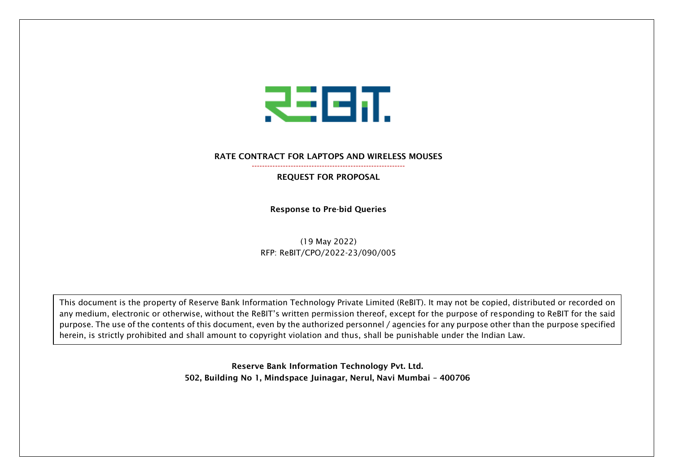

## RATE CONTRACT FOR LAPTOPS AND WIRELESS MOUSES -----------------------------------------------------------

REQUEST FOR PROPOSAL

Response to Pre-bid Queries

(19 May 2022) RFP: ReBIT/CPO/2022-23/090/005

This document is the property of Reserve Bank Information Technology Private Limited (ReBIT). It may not be copied, distributed or recorded on any medium, electronic or otherwise, without the ReBIT's written permission thereof, except for the purpose of responding to ReBIT for the said purpose. The use of the contents of this document, even by the authorized personnel / agencies for any purpose other than the purpose specified herein, is strictly prohibited and shall amount to copyright violation and thus, shall be punishable under the Indian Law.

> Reserve Bank Information Technology Pvt. Ltd. 502, Building No 1, Mindspace Juinagar, Nerul, Navi Mumbai – 400706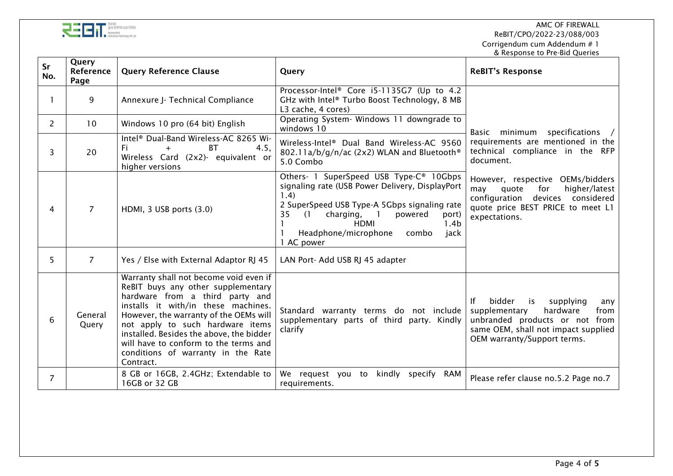

| TODORY PVL Ltd. |  |  |  | <b>The Contract of Contract Contract Contract</b> Contract Contract Contract Contract Contract Contract Contract Contra<br>The Contract Contract Contract Contract Contract Contract Contract Contract Contract Contract Contract Cont<br>न्या गारवट लाक |
|-----------------|--|--|--|----------------------------------------------------------------------------------------------------------------------------------------------------------------------------------------------------------------------------------------------------------|
|-----------------|--|--|--|----------------------------------------------------------------------------------------------------------------------------------------------------------------------------------------------------------------------------------------------------------|

| Sr<br>No.      | Query<br><b>Reference</b><br>Page | <b>Query Reference Clause</b>                                                                                                                                                                                                                                                                                                                                                | Query                                                                                                                                                                                                                                                                                                        | <b>ReBIT's Response</b>                                                                                                                                                                |
|----------------|-----------------------------------|------------------------------------------------------------------------------------------------------------------------------------------------------------------------------------------------------------------------------------------------------------------------------------------------------------------------------------------------------------------------------|--------------------------------------------------------------------------------------------------------------------------------------------------------------------------------------------------------------------------------------------------------------------------------------------------------------|----------------------------------------------------------------------------------------------------------------------------------------------------------------------------------------|
|                | 9                                 | Annexure J- Technical Compliance                                                                                                                                                                                                                                                                                                                                             | Processor-Intel® Core i5-1135G7 (Up to 4.2<br>GHz with Intel® Turbo Boost Technology, 8 MB<br>L3 cache, 4 cores)                                                                                                                                                                                             |                                                                                                                                                                                        |
| $\overline{2}$ | 10                                | Windows 10 pro (64 bit) English                                                                                                                                                                                                                                                                                                                                              | Operating System- Windows 11 downgrade to<br>windows 10                                                                                                                                                                                                                                                      | Basic minimum specifications /<br>requirements are mentioned in the<br>technical compliance in the RFP<br>document.                                                                    |
| 3              | 20                                | Intel <sup>®</sup> Dual-Band Wireless-AC 8265 Wi-<br>4.5,<br><b>BT</b><br>Fi.<br>Wireless Card (2x2)- equivalent or<br>higher versions                                                                                                                                                                                                                                       | Wireless-Intel® Dual Band Wireless-AC 9560<br>802.11a/b/g/n/ac (2x2) WLAN and Bluetooth®<br>5.0 Combo                                                                                                                                                                                                        |                                                                                                                                                                                        |
| 4              | $\overline{7}$                    | HDMI, 3 USB ports (3.0)                                                                                                                                                                                                                                                                                                                                                      | Others- 1 SuperSpeed USB Type-C® 10Gbps<br>signaling rate (USB Power Delivery, DisplayPort<br>1.4)<br>2 SuperSpeed USB Type-A 5Gbps signaling rate<br>charging,<br>$\blacksquare$<br>35<br>powered<br>(1)<br>port)<br><b>HDMI</b><br>1.4 <sub>b</sub><br>Headphone/microphone<br>jack<br>combo<br>1 AC power | However, respective OEMs/bidders<br>quote<br>for<br>higher/latest<br>may<br>configuration<br>devices considered<br>quote price BEST PRICE to meet L1<br>expectations.                  |
| 5              | $\overline{7}$                    | Yes / Else with External Adaptor RJ 45                                                                                                                                                                                                                                                                                                                                       | LAN Port- Add USB RJ 45 adapter                                                                                                                                                                                                                                                                              |                                                                                                                                                                                        |
| 6              | General<br>Query                  | Warranty shall not become void even if<br>ReBIT buys any other supplementary<br>hardware from a third party and<br>installs it with/in these machines.<br>However, the warranty of the OEMs will<br>not apply to such hardware items<br>installed. Besides the above, the bidder<br>will have to conform to the terms and<br>conditions of warranty in the Rate<br>Contract. | Standard warranty terms do not include<br>supplementary parts of third party. Kindly<br>clarify                                                                                                                                                                                                              | bidder<br>is is<br>supplying<br>Ιf<br>any<br>hardware<br>supplementary<br>from<br>unbranded products or not from<br>same OEM, shall not impact supplied<br>OEM warranty/Support terms. |
| 7              |                                   | 8 GB or 16GB, 2.4GHz; Extendable to<br>16GB or 32 GB                                                                                                                                                                                                                                                                                                                         | We request you to<br>kindly specify<br>RAM<br>requirements.                                                                                                                                                                                                                                                  | Please refer clause no.5.2 Page no.7                                                                                                                                                   |